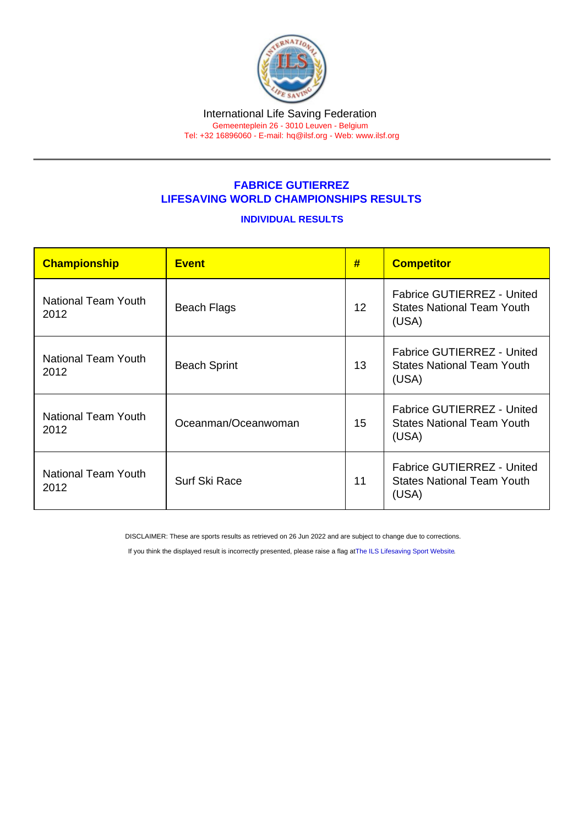## FABRICE GUTIERREZ LIFESAVING WORLD CHAMPIONSHIPS RESULTS

## INDIVIDUAL RESULTS

| Championship                       | <b>Event</b>        | #                 | <b>Competitor</b>                                                               |
|------------------------------------|---------------------|-------------------|---------------------------------------------------------------------------------|
| National Team Youth<br>2012        | <b>Beach Flags</b>  | $12 \overline{ }$ | <b>Fabrice GUTIERREZ - United</b><br><b>States National Team Youth</b><br>(USA) |
| National Team Youth<br>2012        | <b>Beach Sprint</b> | 13                | <b>Fabrice GUTIERREZ - United</b><br><b>States National Team Youth</b><br>(USA) |
| <b>National Team Youth</b><br>2012 | Oceanman/Oceanwoman | 15                | <b>Fabrice GUTIERREZ - United</b><br><b>States National Team Youth</b><br>(USA) |
| National Team Youth<br>2012        | Surf Ski Race       | 11                | Fabrice GUTIERREZ - United<br><b>States National Team Youth</b><br>(USA)        |

DISCLAIMER: These are sports results as retrieved on 26 Jun 2022 and are subject to change due to corrections.

If you think the displayed result is incorrectly presented, please raise a flag at [The ILS Lifesaving Sport Website.](https://sport.ilsf.org)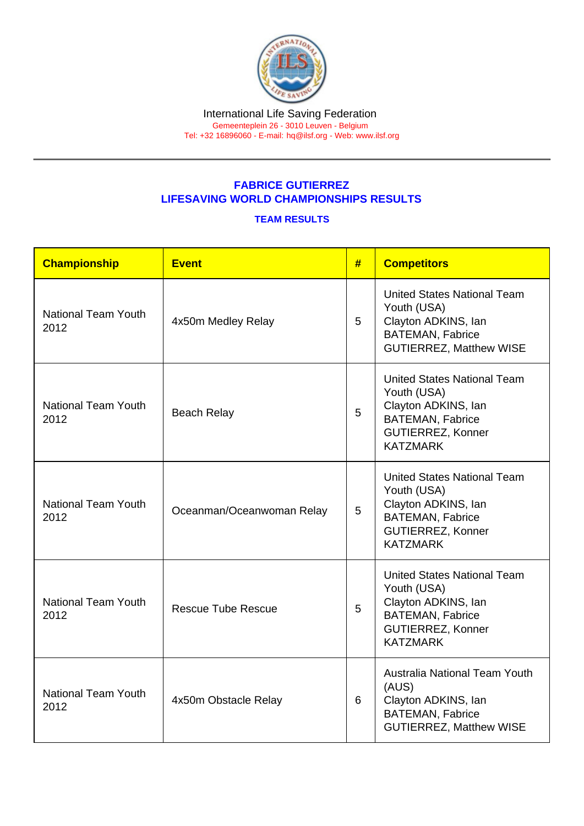## FABRICE GUTIERREZ LIFESAVING WORLD CHAMPIONSHIPS RESULTS

## TEAM RESULTS

| Championship                       | Event                     | # | <b>Competitors</b>                                                                                                                                 |
|------------------------------------|---------------------------|---|----------------------------------------------------------------------------------------------------------------------------------------------------|
| <b>National Team Youth</b><br>2012 | 4x50m Medley Relay        | 5 | <b>United States National Team</b><br>Youth (USA)<br>Clayton ADKINS, Ian<br><b>BATEMAN, Fabrice</b><br><b>GUTIERREZ, Matthew WISE</b>              |
| <b>National Team Youth</b><br>2012 | <b>Beach Relay</b>        | 5 | <b>United States National Team</b><br>Youth (USA)<br>Clayton ADKINS, Ian<br><b>BATEMAN, Fabrice</b><br><b>GUTIERREZ, Konner</b><br><b>KATZMARK</b> |
| <b>National Team Youth</b><br>2012 | Oceanman/Oceanwoman Relay | 5 | <b>United States National Team</b><br>Youth (USA)<br>Clayton ADKINS, Ian<br><b>BATEMAN, Fabrice</b><br><b>GUTIERREZ, Konner</b><br><b>KATZMARK</b> |
| <b>National Team Youth</b><br>2012 | <b>Rescue Tube Rescue</b> | 5 | <b>United States National Team</b><br>Youth (USA)<br>Clayton ADKINS, Ian<br><b>BATEMAN, Fabrice</b><br><b>GUTIERREZ, Konner</b><br><b>KATZMARK</b> |
| <b>National Team Youth</b><br>2012 | 4x50m Obstacle Relay      | 6 | Australia National Team Youth<br>(AUS)<br>Clayton ADKINS, Ian<br><b>BATEMAN, Fabrice</b><br><b>GUTIERREZ, Matthew WISE</b>                         |